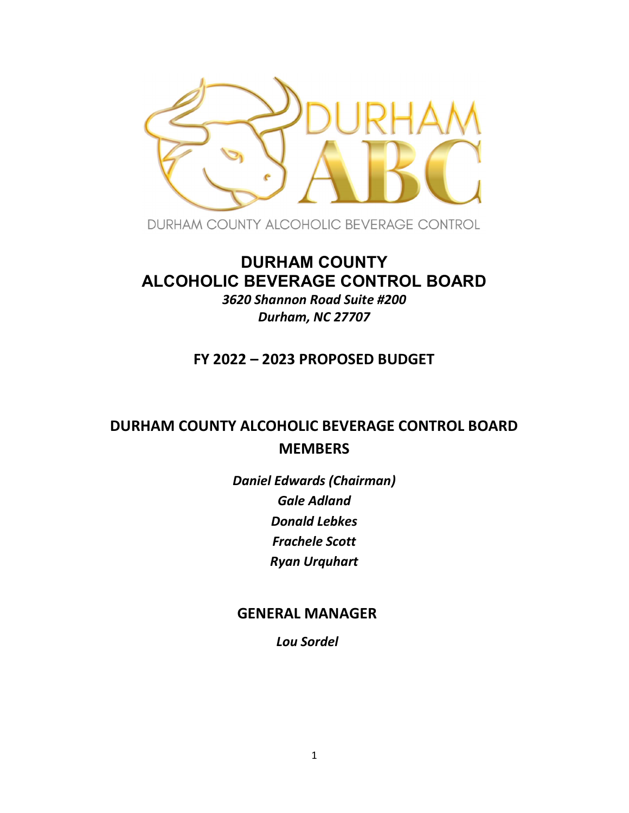

DURHAM COUNTY ALCOHOLIC BEVERAGE CONTROL

# DURHAM COUNTY ALCOHOLIC BEVERAGE CONTROL BOARD 3620 Shannon Road Suite #200

Durham, NC 27707

# FY 2022 – 2023 PROPOSED BUDGET

# DURHAM COUNTY ALCOHOLIC BEVERAGE CONTROL BOARD **MEMBERS**

Daniel Edwards (Chairman) Gale Adland Donald Lebkes Frachele Scott Ryan Urquhart

# GENERAL MANAGER

Lou Sordel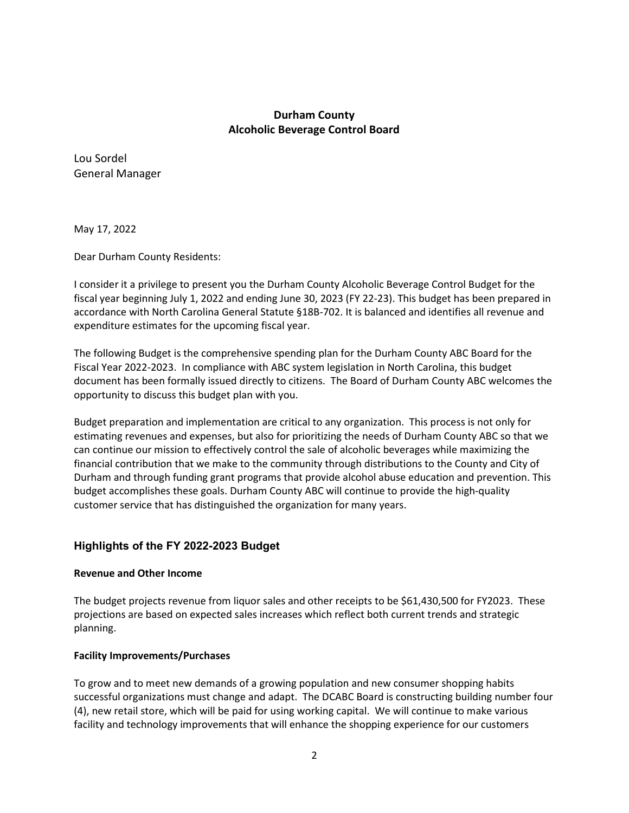## Durham County Alcoholic Beverage Control Board

Lou Sordel General Manager

May 17, 2022

Dear Durham County Residents:

I consider it a privilege to present you the Durham County Alcoholic Beverage Control Budget for the fiscal year beginning July 1, 2022 and ending June 30, 2023 (FY 22-23). This budget has been prepared in accordance with North Carolina General Statute §18B-702. It is balanced and identifies all revenue and expenditure estimates for the upcoming fiscal year.

The following Budget is the comprehensive spending plan for the Durham County ABC Board for the Fiscal Year 2022-2023. In compliance with ABC system legislation in North Carolina, this budget document has been formally issued directly to citizens. The Board of Durham County ABC welcomes the opportunity to discuss this budget plan with you.

Budget preparation and implementation are critical to any organization. This process is not only for estimating revenues and expenses, but also for prioritizing the needs of Durham County ABC so that we can continue our mission to effectively control the sale of alcoholic beverages while maximizing the financial contribution that we make to the community through distributions to the County and City of Durham and through funding grant programs that provide alcohol abuse education and prevention. This budget accomplishes these goals. Durham County ABC will continue to provide the high-quality customer service that has distinguished the organization for many years.

### Highlights of the FY 2022-2023 Budget

#### Revenue and Other Income

The budget projects revenue from liquor sales and other receipts to be \$61,430,500 for FY2023. These projections are based on expected sales increases which reflect both current trends and strategic planning.

### Facility Improvements/Purchases

To grow and to meet new demands of a growing population and new consumer shopping habits successful organizations must change and adapt. The DCABC Board is constructing building number four (4), new retail store, which will be paid for using working capital. We will continue to make various facility and technology improvements that will enhance the shopping experience for our customers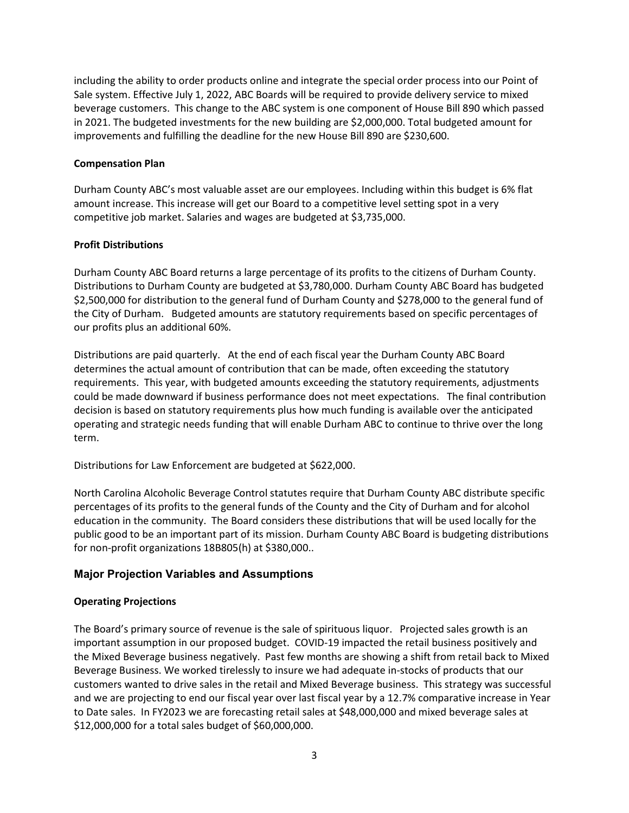including the ability to order products online and integrate the special order process into our Point of Sale system. Effective July 1, 2022, ABC Boards will be required to provide delivery service to mixed beverage customers. This change to the ABC system is one component of House Bill 890 which passed in 2021. The budgeted investments for the new building are \$2,000,000. Total budgeted amount for improvements and fulfilling the deadline for the new House Bill 890 are \$230,600.

#### Compensation Plan

Durham County ABC's most valuable asset are our employees. Including within this budget is 6% flat amount increase. This increase will get our Board to a competitive level setting spot in a very competitive job market. Salaries and wages are budgeted at \$3,735,000.

#### Profit Distributions

Durham County ABC Board returns a large percentage of its profits to the citizens of Durham County. Distributions to Durham County are budgeted at \$3,780,000. Durham County ABC Board has budgeted \$2,500,000 for distribution to the general fund of Durham County and \$278,000 to the general fund of the City of Durham. Budgeted amounts are statutory requirements based on specific percentages of our profits plus an additional 60%.

Distributions are paid quarterly. At the end of each fiscal year the Durham County ABC Board determines the actual amount of contribution that can be made, often exceeding the statutory requirements. This year, with budgeted amounts exceeding the statutory requirements, adjustments could be made downward if business performance does not meet expectations. The final contribution decision is based on statutory requirements plus how much funding is available over the anticipated operating and strategic needs funding that will enable Durham ABC to continue to thrive over the long term.

Distributions for Law Enforcement are budgeted at \$622,000.

North Carolina Alcoholic Beverage Control statutes require that Durham County ABC distribute specific percentages of its profits to the general funds of the County and the City of Durham and for alcohol education in the community. The Board considers these distributions that will be used locally for the public good to be an important part of its mission. Durham County ABC Board is budgeting distributions for non-profit organizations 18B805(h) at \$380,000..

### Major Projection Variables and Assumptions

#### Operating Projections

The Board's primary source of revenue is the sale of spirituous liquor. Projected sales growth is an important assumption in our proposed budget. COVID-19 impacted the retail business positively and the Mixed Beverage business negatively. Past few months are showing a shift from retail back to Mixed Beverage Business. We worked tirelessly to insure we had adequate in-stocks of products that our customers wanted to drive sales in the retail and Mixed Beverage business. This strategy was successful and we are projecting to end our fiscal year over last fiscal year by a 12.7% comparative increase in Year to Date sales. In FY2023 we are forecasting retail sales at \$48,000,000 and mixed beverage sales at \$12,000,000 for a total sales budget of \$60,000,000.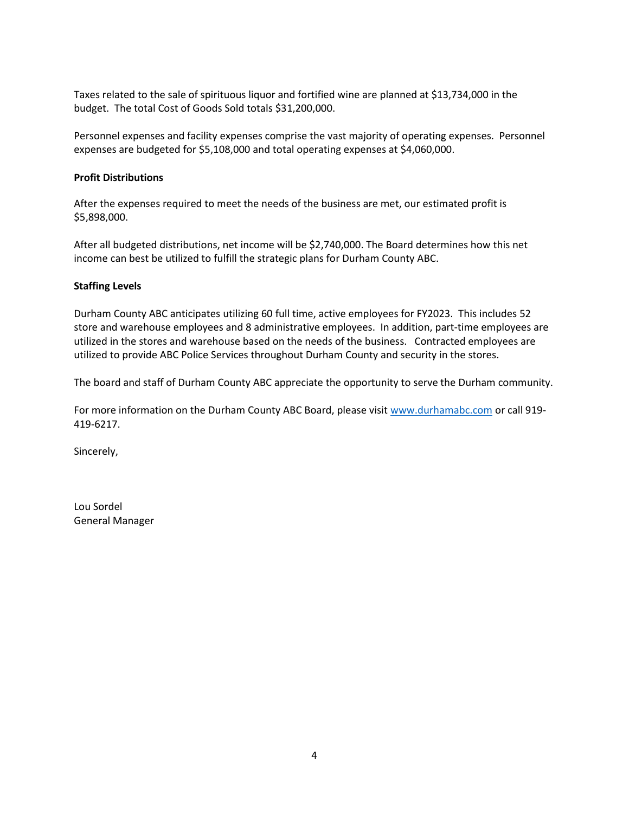Taxes related to the sale of spirituous liquor and fortified wine are planned at \$13,734,000 in the budget. The total Cost of Goods Sold totals \$31,200,000.

Personnel expenses and facility expenses comprise the vast majority of operating expenses. Personnel expenses are budgeted for \$5,108,000 and total operating expenses at \$4,060,000.

#### Profit Distributions

After the expenses required to meet the needs of the business are met, our estimated profit is \$5,898,000.

After all budgeted distributions, net income will be \$2,740,000. The Board determines how this net income can best be utilized to fulfill the strategic plans for Durham County ABC.

#### Staffing Levels

Durham County ABC anticipates utilizing 60 full time, active employees for FY2023. This includes 52 store and warehouse employees and 8 administrative employees. In addition, part-time employees are utilized in the stores and warehouse based on the needs of the business. Contracted employees are utilized to provide ABC Police Services throughout Durham County and security in the stores.

The board and staff of Durham County ABC appreciate the opportunity to serve the Durham community.

For more information on the Durham County ABC Board, please visit www.durhamabc.com or call 919-419-6217.

Sincerely,

Lou Sordel General Manager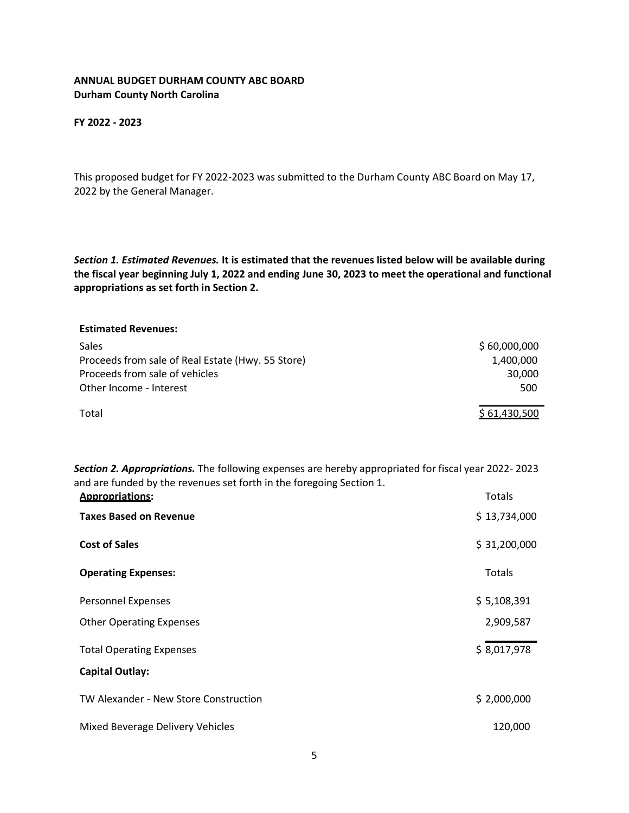#### ANNUAL BUDGET DURHAM COUNTY ABC BOARD Durham County North Carolina

FY 2022 - 2023

This proposed budget for FY 2022-2023 was submitted to the Durham County ABC Board on May 17, 2022 by the General Manager.

Section 1. Estimated Revenues. It is estimated that the revenues listed below will be available during the fiscal year beginning July 1, 2022 and ending June 30, 2023 to meet the operational and functional appropriations as set forth in Section 2.

| <b>Estimated Revenues:</b>                        |              |
|---------------------------------------------------|--------------|
| Sales                                             | \$60,000,000 |
| Proceeds from sale of Real Estate (Hwy. 55 Store) | 1,400,000    |
| Proceeds from sale of vehicles                    | 30,000       |
| Other Income - Interest                           | 500          |
| Total                                             | \$61,430,500 |

Section 2. Appropriations. The following expenses are hereby appropriated for fiscal year 2022-2023 and are funded by the revenues set forth in the foregoing Section 1.

| <b>Appropriations:</b>                | Totals       |
|---------------------------------------|--------------|
| <b>Taxes Based on Revenue</b>         | \$13,734,000 |
| <b>Cost of Sales</b>                  | \$31,200,000 |
| <b>Operating Expenses:</b>            | Totals       |
| Personnel Expenses                    | \$5,108,391  |
| <b>Other Operating Expenses</b>       | 2,909,587    |
| <b>Total Operating Expenses</b>       | \$8,017,978  |
| <b>Capital Outlay:</b>                |              |
| TW Alexander - New Store Construction | \$2,000,000  |
| Mixed Beverage Delivery Vehicles      | 120,000      |